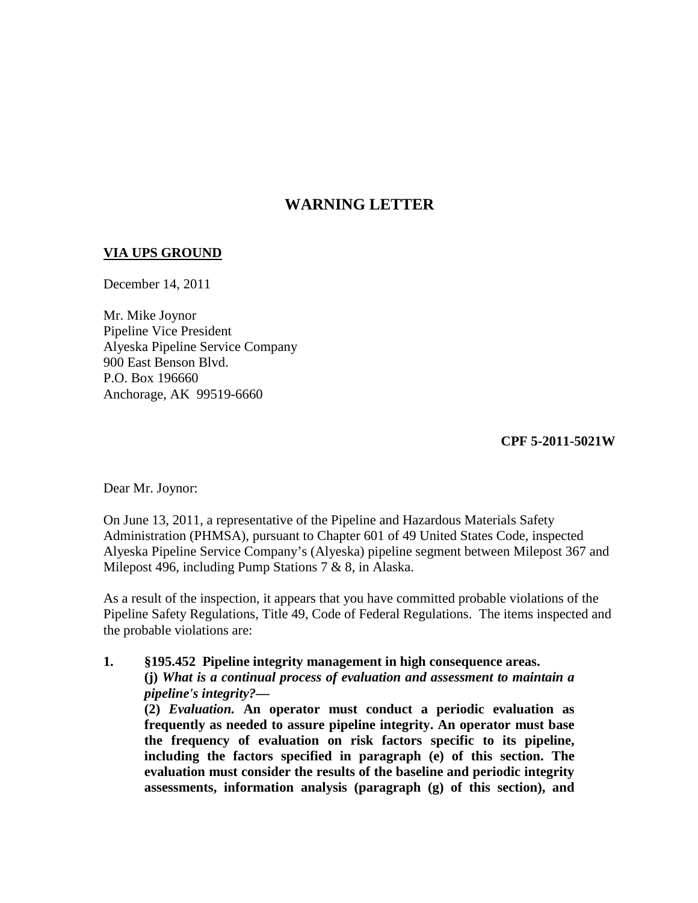## **WARNING LETTER**

## **VIA UPS GROUND**

December 14, 2011

Mr. Mike Joynor Pipeline Vice President Alyeska Pipeline Service Company 900 East Benson Blvd. P.O. Box 196660 Anchorage, AK 99519-6660

**CPF 5-2011-5021W**

Dear Mr. Joynor:

On June 13, 2011, a representative of the Pipeline and Hazardous Materials Safety Administration (PHMSA), pursuant to Chapter 601 of 49 United States Code, inspected Alyeska Pipeline Service Company's (Alyeska) pipeline segment between Milepost 367 and Milepost 496, including Pump Stations 7 & 8, in Alaska.

As a result of the inspection, it appears that you have committed probable violations of the Pipeline Safety Regulations, Title 49, Code of Federal Regulations. The items inspected and the probable violations are:

**1. §195.452 Pipeline integrity management in high consequence areas. (j)** *What is a continual process of evaluation and assessment to maintain a pipeline's integrity?***—**

**(2)** *Evaluation.* **An operator must conduct a periodic evaluation as frequently as needed to assure pipeline integrity. An operator must base the frequency of evaluation on risk factors specific to its pipeline, including the factors specified in paragraph (e) of this section. The evaluation must consider the results of the baseline and periodic integrity assessments, information analysis (paragraph (g) of this section), and**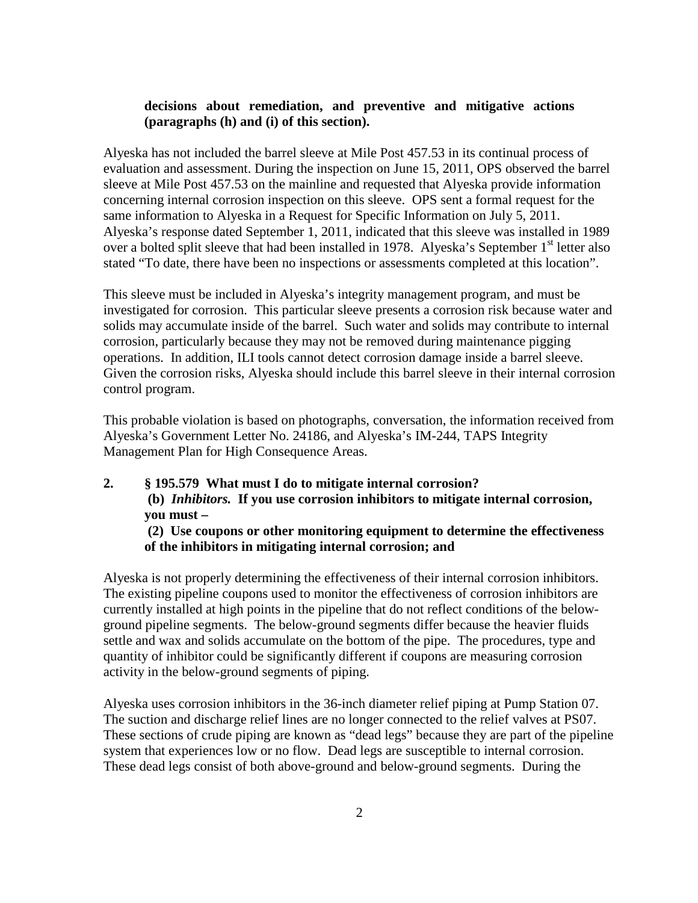## **decisions about remediation, and preventive and mitigative actions (paragraphs (h) and (i) of this section).**

Alyeska has not included the barrel sleeve at Mile Post 457.53 in its continual process of evaluation and assessment. During the inspection on June 15, 2011, OPS observed the barrel sleeve at Mile Post 457.53 on the mainline and requested that Alyeska provide information concerning internal corrosion inspection on this sleeve. OPS sent a formal request for the same information to Alyeska in a Request for Specific Information on July 5, 2011. Alyeska's response dated September 1, 2011, indicated that this sleeve was installed in 1989 over a bolted split sleeve that had been installed in 1978. Alyeska's September 1<sup>st</sup> letter also stated "To date, there have been no inspections or assessments completed at this location".

This sleeve must be included in Alyeska's integrity management program, and must be investigated for corrosion. This particular sleeve presents a corrosion risk because water and solids may accumulate inside of the barrel. Such water and solids may contribute to internal corrosion, particularly because they may not be removed during maintenance pigging operations. In addition, ILI tools cannot detect corrosion damage inside a barrel sleeve. Given the corrosion risks, Alyeska should include this barrel sleeve in their internal corrosion control program.

This probable violation is based on photographs, conversation, the information received from Alyeska's Government Letter No. 24186, and Alyeska's IM-244, TAPS Integrity Management Plan for High Consequence Areas.

**2. § 195.579 What must I do to mitigate internal corrosion? (b)** *Inhibitors.* **If you use corrosion inhibitors to mitigate internal corrosion, you must – (2) Use coupons or other monitoring equipment to determine the effectiveness** 

## **of the inhibitors in mitigating internal corrosion; and**

Alyeska is not properly determining the effectiveness of their internal corrosion inhibitors. The existing pipeline coupons used to monitor the effectiveness of corrosion inhibitors are currently installed at high points in the pipeline that do not reflect conditions of the belowground pipeline segments. The below-ground segments differ because the heavier fluids settle and wax and solids accumulate on the bottom of the pipe. The procedures, type and quantity of inhibitor could be significantly different if coupons are measuring corrosion activity in the below-ground segments of piping.

Alyeska uses corrosion inhibitors in the 36-inch diameter relief piping at Pump Station 07. The suction and discharge relief lines are no longer connected to the relief valves at PS07. These sections of crude piping are known as "dead legs" because they are part of the pipeline system that experiences low or no flow. Dead legs are susceptible to internal corrosion. These dead legs consist of both above-ground and below-ground segments. During the